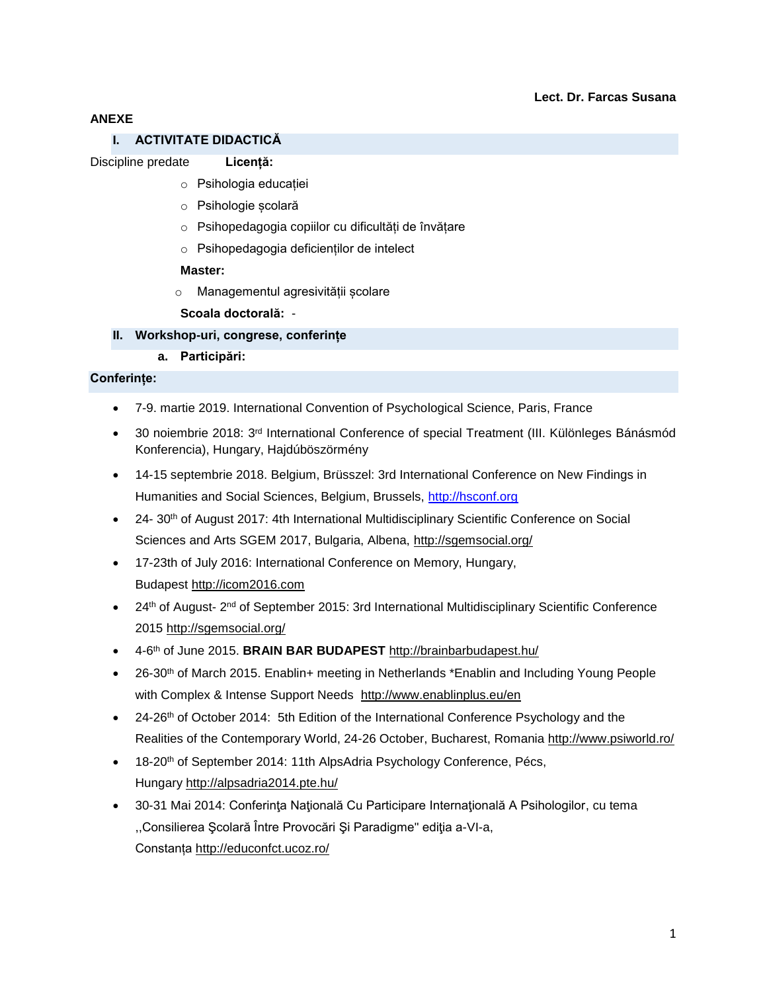## **Lect. Dr. Farcas Susana**

## **ANEXE**

## **I. ACTIVITATE DIDACTICĂ**

#### Discipline predate **Licență:**

- o Psihologia educației
- o Psihologie școlară
- o Psihopedagogia copiilor cu dificultăți de învățare
- o Psihopedagogia deficienților de intelect

#### **Master:**

- o Managementul agresivității școlare
- **Scoala doctorală:** -

## **II. Workshop-uri, congrese, conferințe**

**a. Participări:**

## **Conferințe:**

- 7-9. martie 2019. International Convention of Psychological Science, Paris, France
- 30 noiembrie 2018: 3<sup>rd</sup> International Conference of special Treatment (III. Különleges Bánásmód Konferencia), Hungary, Hajdúböszörmény
- 14-15 septembrie 2018. Belgium, Brüsszel: 3rd International Conference on New Findings in Humanities and Social Sciences, Belgium, Brussels, [http://hsconf.org](http://www.google.com/url?q=http%3A%2F%2Fhsconf.org&sa=D&sntz=1&usg=AFQjCNHd6dAIkObi_2by-0zozPJ4Ur78cA)
- 24- 30<sup>th</sup> of August 2017: 4th International Multidisciplinary Scientific Conference on Social Sciences and Arts SGEM 2017, Bulgaria, Albena,<http://sgemsocial.org/>
- 17-23th of July 2016: International Conference on Memory, Hungary, Budapest [http://icom2016.com](http://icom2016.com/)
- 24<sup>th</sup> of August- 2<sup>nd</sup> of September 2015: 3rd International Multidisciplinary Scientific Conference 2015 <http://sgemsocial.org/>
- 4-6 th of June 2015. **BRAIN BAR BUDAPEST** <http://brainbarbudapest.hu/>
- 26-30th of March 2015. Enablin+ meeting in Netherlands \*Enablin and Including Young People with Complex & Intense Support Needs <http://www.enablinplus.eu/en>
- 24-26<sup>th</sup> of October 2014: 5th Edition of the International Conference Psychology and the Realities of the Contemporary World, 24-26 October, Bucharest, Romania <http://www.psiworld.ro/>
- 18-20<sup>th</sup> of September 2014: 11th AlpsAdria Psychology Conference, Pécs, Hungary <http://alpsadria2014.pte.hu/>
- 30-31 Mai 2014: Conferinţa Naţională Cu Participare Internaţională A Psihologilor, cu tema ,,Consilierea Şcolară Între Provocări Şi Paradigme" ediţia a-VI-a, Constanța <http://educonfct.ucoz.ro/>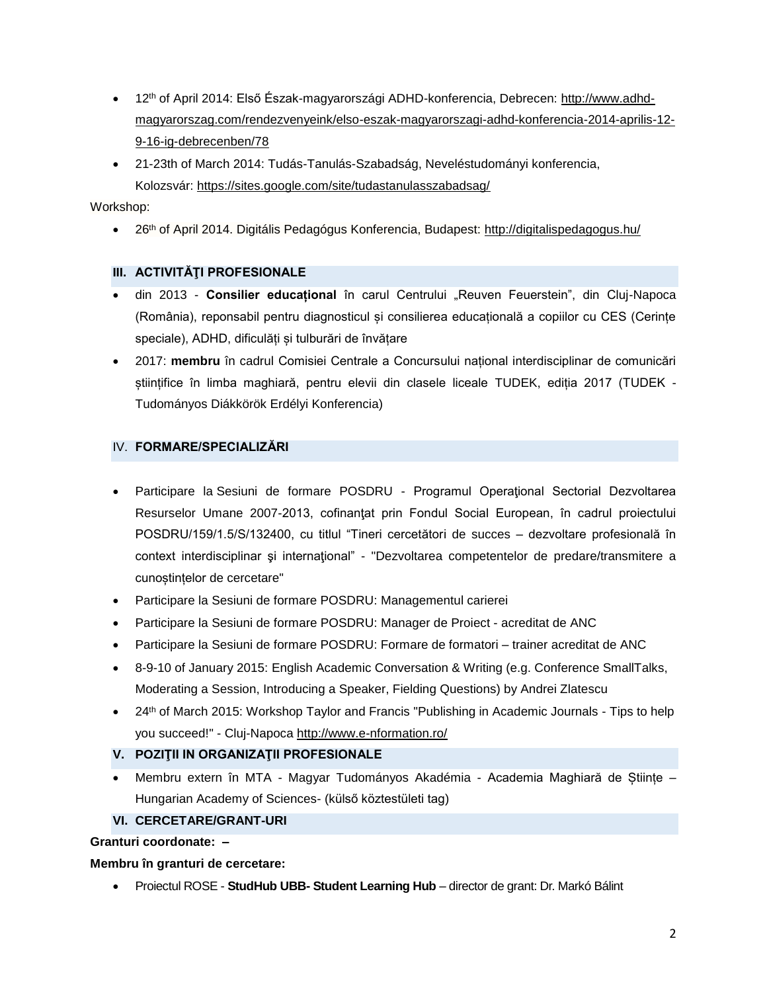- 12th of April 2014: Első Észak-magyarországi ADHD-konferencia, Debrecen: [http://www.adhd](http://www.adhd-magyarorszag.com/rendezvenyeink/elso-eszak-magyarorszagi-adhd-konferencia-2014-aprilis-12-9-16-ig-debrecenben/78)[magyarorszag.com/rendezvenyeink/elso-eszak-magyarorszagi-adhd-konferencia-2014-aprilis-12-](http://www.adhd-magyarorszag.com/rendezvenyeink/elso-eszak-magyarorszagi-adhd-konferencia-2014-aprilis-12-9-16-ig-debrecenben/78) [9-16-ig-debrecenben/78](http://www.adhd-magyarorszag.com/rendezvenyeink/elso-eszak-magyarorszagi-adhd-konferencia-2014-aprilis-12-9-16-ig-debrecenben/78)
- 21-23th of March 2014: Tudás-Tanulás-Szabadság, Neveléstudományi konferencia, Kolozsvár: <https://sites.google.com/site/tudastanulasszabadsag/>

## Workshop:

• 26<sup>th</sup> of April 2014. Digitális Pedagógus Konferencia, Budapest: <http://digitalispedagogus.hu/>

# **III. ACTIVITĂŢI PROFESIONALE**

- $\bullet$  din 2013 Consilier educațional în carul Centrului "Reuven Feuerstein", din Cluj-Napoca (România), reponsabil pentru diagnosticul și consilierea educațională a copiilor cu CES (Cerințe speciale), ADHD, dificulăți și tulburări de învățare
- 2017: **membru** în cadrul Comisiei Centrale a Concursului național interdisciplinar de comunicări științifice în limba maghiară, pentru elevii din clasele liceale TUDEK, ediția 2017 (TUDEK - Tudományos Diákkörök Erdélyi Konferencia)

# IV. **FORMARE/SPECIALIZĂRI**

- Participare la Sesiuni de formare POSDRU Programul Operațional Sectorial Dezvoltarea Resurselor Umane 2007-2013, cofinanţat prin Fondul Social European, în cadrul proiectului POSDRU/159/1.5/S/132400, cu titlul "Tineri cercetători de succes – dezvoltare profesională în context interdisciplinar şi internaţional" - "Dezvoltarea competentelor de predare/transmitere a cunoștințelor de cercetare"
- Participare la Sesiuni de formare POSDRU: Managementul carierei
- Participare la Sesiuni de formare POSDRU: Manager de Proiect acreditat de ANC
- Participare la Sesiuni de formare POSDRU: Formare de formatori trainer acreditat de ANC
- 8-9-10 of January 2015: English Academic Conversation & Writing (e.g. Conference SmallTalks, Moderating a Session, Introducing a Speaker, Fielding Questions) by Andrei Zlatescu
- 24<sup>th</sup> of March 2015: Workshop Taylor and Francis "Publishing in Academic Journals Tips to help you succeed!" - Cluj-Napoca <http://www.e-nformation.ro/>

# **V. POZIŢII IN ORGANIZAŢII PROFESIONALE**

 Membru extern în MTA - Magyar Tudományos Akadémia - Academia Maghiară de Științe – Hungarian Academy of Sciences- (külső köztestületi tag)

# **VI. CERCETARE/GRANT-URI**

## **Granturi coordonate: –**

## **Membru în granturi de cercetare:**

Proiectul ROSE - **StudHub UBB- Student Learning Hub** – director de grant: Dr. Markó Bálint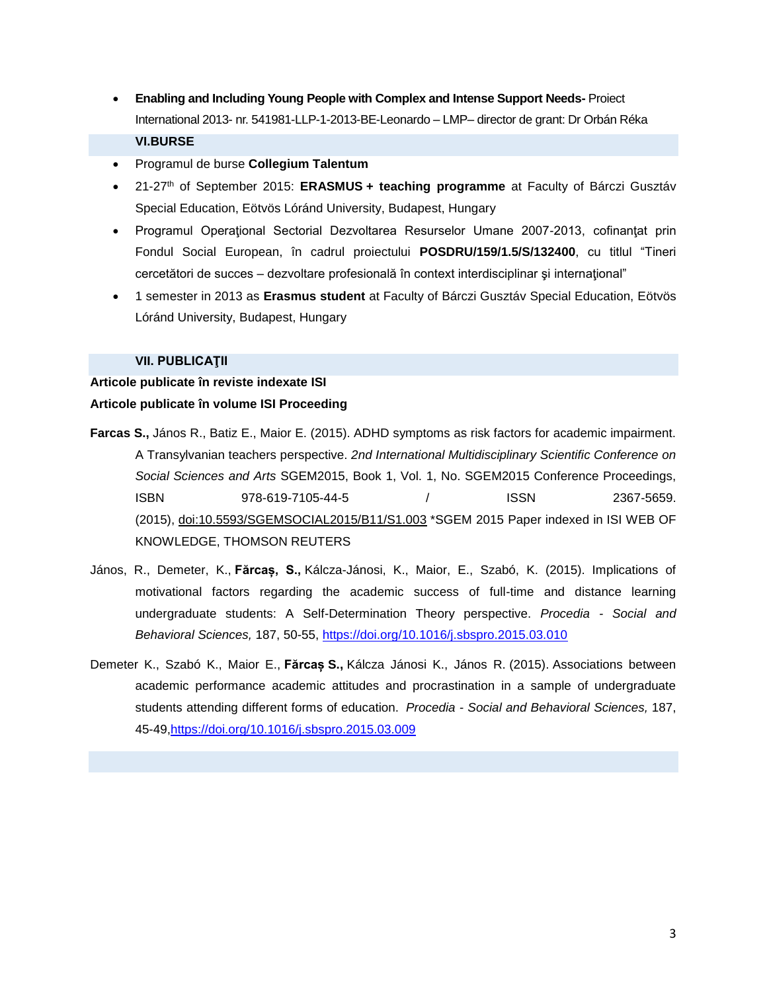- **Enabling and Including Young People with Complex and Intense Support Needs-** Proiect International 2013- nr. 541981-LLP-1-2013-BE-Leonardo – LMP– director de grant: Dr Orbán Réka **VI.BURSE**
- Programul de burse **Collegium Talentum**
- 21-27th of September 2015: **ERASMUS + teaching programme** at Faculty of Bárczi Gusztáv Special Education, Eötvös Lóránd University, Budapest, Hungary
- Programul Operaţional Sectorial Dezvoltarea Resurselor Umane 2007-2013, cofinanţat prin Fondul Social European, în cadrul proiectului **POSDRU/159/1.5/S/132400**, cu titlul "Tineri cercetători de succes – dezvoltare profesională în context interdisciplinar şi internaţional"
- 1 semester in 2013 as **Erasmus student** at Faculty of Bárczi Gusztáv Special Education, Eötvös Lóránd University, Budapest, Hungary

#### **VII. PUBLICAŢII**

# **Articole publicate în reviste indexate ISI Articole publicate în volume ISI Proceeding**

- **Farcas S.,** János R., Batiz E., Maior E. (2015). ADHD symptoms as risk factors for academic impairment. A Transylvanian teachers perspective. *2nd International Multidisciplinary Scientific Conference on Social Sciences and Arts* SGEM2015, Book 1, Vol. 1, No. SGEM2015 Conference Proceedings, ISBN 978-619-7105-44-5 / ISSN 2367-5659. (2015), [doi:10.5593/SGEMSOCIAL2015/B11/S1.003](http://dx.doi.org/10.5593/SGEMSOCIAL2015/B11/S1.003) \*SGEM 2015 Paper indexed in ISI WEB OF KNOWLEDGE, THOMSON REUTERS
- János, R., Demeter, K., **Fărcaș, S.,** Kálcza-Jánosi, K., Maior, E., Szabó, K. (2015). Implications of motivational factors regarding the academic success of full-time and distance learning undergraduate students: A Self-Determination Theory perspective. *Procedia - Social and Behavioral Sciences,* 187, 50-55, <https://doi.org/10.1016/j.sbspro.2015.03.010>
- Demeter K., Szabó K., Maior E., **Fărcaș S.,** Kálcza Jánosi K., János R. (2015). Associations between academic performance academic attitudes and procrastination in a sample of undergraduate students attending different forms of education. *Procedia - Social and Behavioral Sciences,* 187, 45-49[,https://doi.org/10.1016/j.sbspro.2015.03.009](https://doi.org/10.1016/j.sbspro.2015.03.009)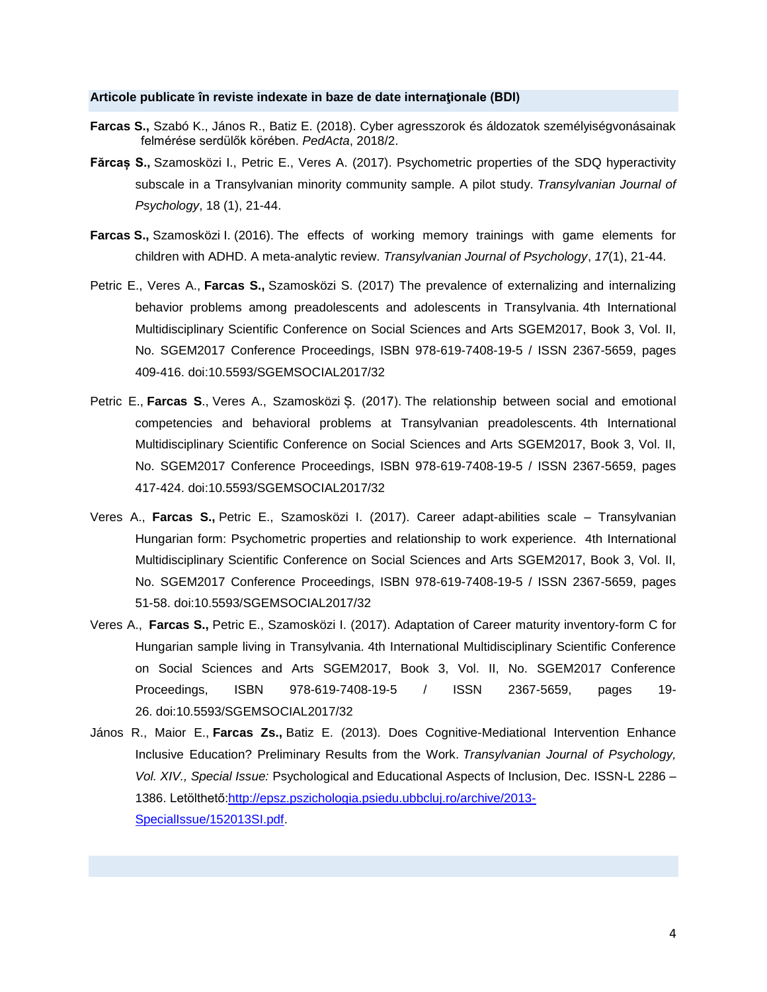#### **Articole publicate în reviste indexate in baze de date internaţionale (BDI)**

- **Farcas S.,** Szabó K., János R., Batiz E. (2018). Cyber agresszorok és áldozatok személyiségvonásainak felmérése serdülők körében. *PedActa*, 2018/2.
- **Fărcaș S.,** Szamosközi I., Petric E., Veres A. (2017). Psychometric properties of the SDQ hyperactivity subscale in a Transylvanian minority community sample. A pilot study. *Transylvanian Journal of Psychology*, 18 (1), 21-44.
- **Farcas S.,** Szamosközi I. (2016). The effects of working memory trainings with game elements for children with ADHD. A meta-analytic review. *Transylvanian Journal of Psychology*, *17*(1), 21-44.
- Petric E., Veres A., **Farcas S.,** Szamosközi S. (2017) The prevalence of externalizing and internalizing behavior problems among preadolescents and adolescents in Transylvania. 4th International Multidisciplinary Scientific Conference on Social Sciences and Arts SGEM2017, Book 3, Vol. II, No. SGEM2017 Conference Proceedings, ISBN 978-619-7408-19-5 / ISSN 2367-5659, pages 409-416. doi:10.5593/SGEMSOCIAL2017/32
- Petric E., **Farcas S**., Veres A., Szamosközi Ș. (2017). The relationship between social and emotional competencies and behavioral problems at Transylvanian preadolescents. 4th International Multidisciplinary Scientific Conference on Social Sciences and Arts SGEM2017, Book 3, Vol. II, No. SGEM2017 Conference Proceedings, ISBN 978-619-7408-19-5 / ISSN 2367-5659, pages 417-424. doi:10.5593/SGEMSOCIAL2017/32
- Veres A., **Farcas S.,** Petric E., Szamosközi I. (2017). Career adapt-abilities scale Transylvanian Hungarian form: Psychometric properties and relationship to work experience. 4th International Multidisciplinary Scientific Conference on Social Sciences and Arts SGEM2017, Book 3, Vol. II, No. SGEM2017 Conference Proceedings, ISBN 978-619-7408-19-5 / ISSN 2367-5659, pages 51-58. doi:10.5593/SGEMSOCIAL2017/32
- Veres A., **Farcas S.,** Petric E., Szamosközi I. (2017). Adaptation of Career maturity inventory-form C for Hungarian sample living in Transylvania. 4th International Multidisciplinary Scientific Conference on Social Sciences and Arts SGEM2017, Book 3, Vol. II, No. SGEM2017 Conference Proceedings, ISBN 978-619-7408-19-5 / ISSN 2367-5659, pages 19- 26. doi:10.5593/SGEMSOCIAL2017/32
- János R., Maior E., **Farcas Zs.,** Batiz E. (2013). Does Cognitive-Mediational Intervention Enhance Inclusive Education? Preliminary Results from the Work. *Transylvanian Journal of Psychology, Vol. XIV., Special Issue:* Psychological and Educational Aspects of Inclusion, Dec. ISSN-L 2286 – 1386. Letölthető[:http://epsz.pszichologia.psiedu.ubbcluj.ro/archive/2013-](http://epsz.pszichologia.psiedu.ubbcluj.ro/archive/2013-SpecialIssue/152013SI.pdf) [SpecialIssue/152013SI.pdf.](http://epsz.pszichologia.psiedu.ubbcluj.ro/archive/2013-SpecialIssue/152013SI.pdf)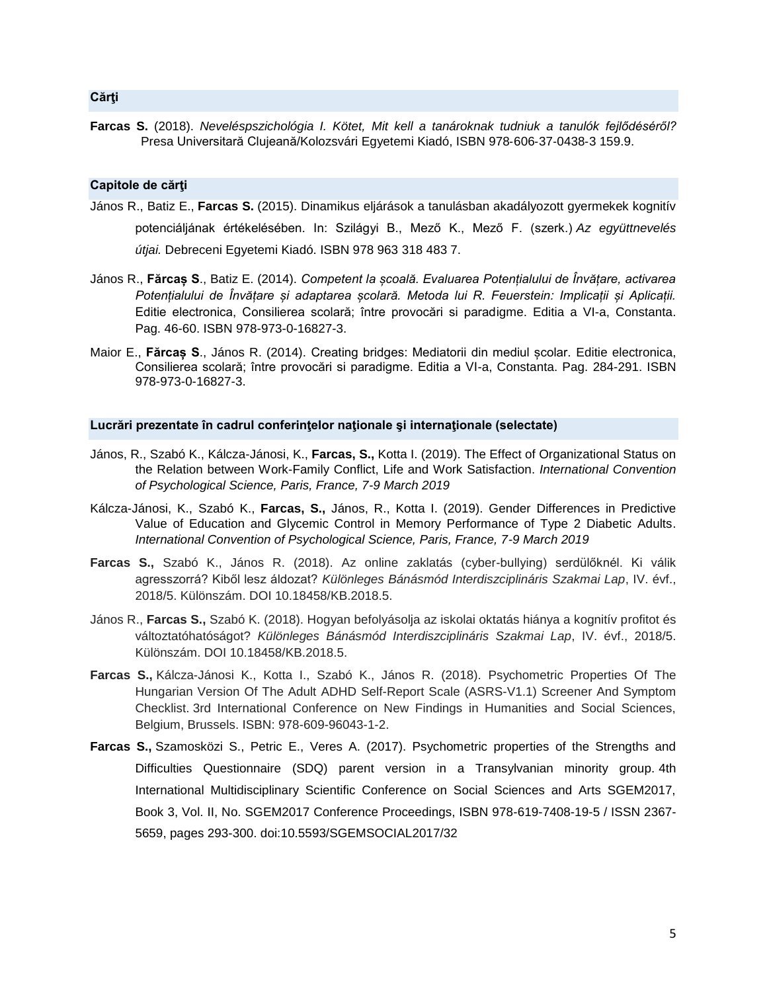#### **Cărţi**

**Farcas S.** (2018). *Neveléspszichológia I. Kötet, Mit kell a tanároknak tudniuk a tanulók fejlődéséről?* Presa Universitară Clujeană/Kolozsvári Egyetemi Kiadó, ISBN 978‐606‐37‐0438‐3 159.9.

### **Capitole de cărţi**

- János R., Batiz E., **Farcas S.** (2015). Dinamikus eljárások a tanulásban akadályozott gyermekek kognitív potenciáljának értékelésében. In: Szilágyi B., Mező K., Mező F. (szerk.) *Az együttnevelés útjai.* Debreceni Egyetemi Kiadó. ISBN 978 963 318 483 7.
- János R., **Fărcaș S**., Batiz E. (2014). *Competent la școală. Evaluarea Potențialului de Învățare, activarea Potențialului de Învățare și adaptarea școlară. Metoda lui R. Feuerstein: Implicații și Aplicații.* Editie electronica, Consilierea scolară; între provocări si paradigme. Editia a VI-a, Constanta. Pag. 46-60. ISBN 978-973-0-16827-3.
- Maior E., **Fărcaș S**., János R. (2014). Creating bridges: Mediatorii din mediul școlar. Editie electronica, Consilierea scolară; între provocări si paradigme. Editia a VI-a, Constanta. Pag. 284-291. ISBN 978-973-0-16827-3.

## **Lucrări prezentate în cadrul conferinţelor naţionale şi internaţionale (selectate)**

- János, R., Szabó K., Kálcza-Jánosi, K., **Farcas, S.,** Kotta I. (2019). The Effect of Organizational Status on the Relation between Work-Family Conflict, Life and Work Satisfaction. *International Convention of Psychological Science, Paris, France, 7-9 March 2019*
- Kálcza-Jánosi, K., Szabó K., **Farcas, S.,** János, R., Kotta I. (2019). Gender Differences in Predictive Value of Education and Glycemic Control in Memory Performance of Type 2 Diabetic Adults. *International Convention of Psychological Science, Paris, France, 7-9 March 2019*
- **Farcas S.,** Szabó K., János R. (2018). Az online zaklatás (cyber-bullying) serdülőknél. Ki válik agresszorrá? Kiből lesz áldozat? *Különleges Bánásmód Interdiszciplináris Szakmai Lap*, IV. évf., 2018/5. Különszám. DOI 10.18458/KB.2018.5.
- János R., **Farcas S.,** Szabó K. (2018). Hogyan befolyásolja az iskolai oktatás hiánya a kognitív profitot és változtatóhatóságot? *Különleges Bánásmód Interdiszciplináris Szakmai Lap*, IV. évf., 2018/5. Különszám. DOI 10.18458/KB.2018.5.
- **Farcas S.,** Kálcza-Jánosi K., Kotta I., Szabó K., János R. (2018). Psychometric Properties Of The Hungarian Version Of The Adult ADHD Self-Report Scale (ASRS-V1.1) Screener And Symptom Checklist. 3rd International Conference on New Findings in Humanities and Social Sciences, Belgium, Brussels. ISBN: 978-609-96043-1-2.
- **Farcas S.,** Szamosközi S., Petric E., Veres A. (2017). Psychometric properties of the Strengths and Difficulties Questionnaire (SDQ) parent version in a Transylvanian minority group. 4th International Multidisciplinary Scientific Conference on Social Sciences and Arts SGEM2017, Book 3, Vol. II, No. SGEM2017 Conference Proceedings, ISBN 978-619-7408-19-5 / ISSN 2367- 5659, pages 293-300. doi:10.5593/SGEMSOCIAL2017/32